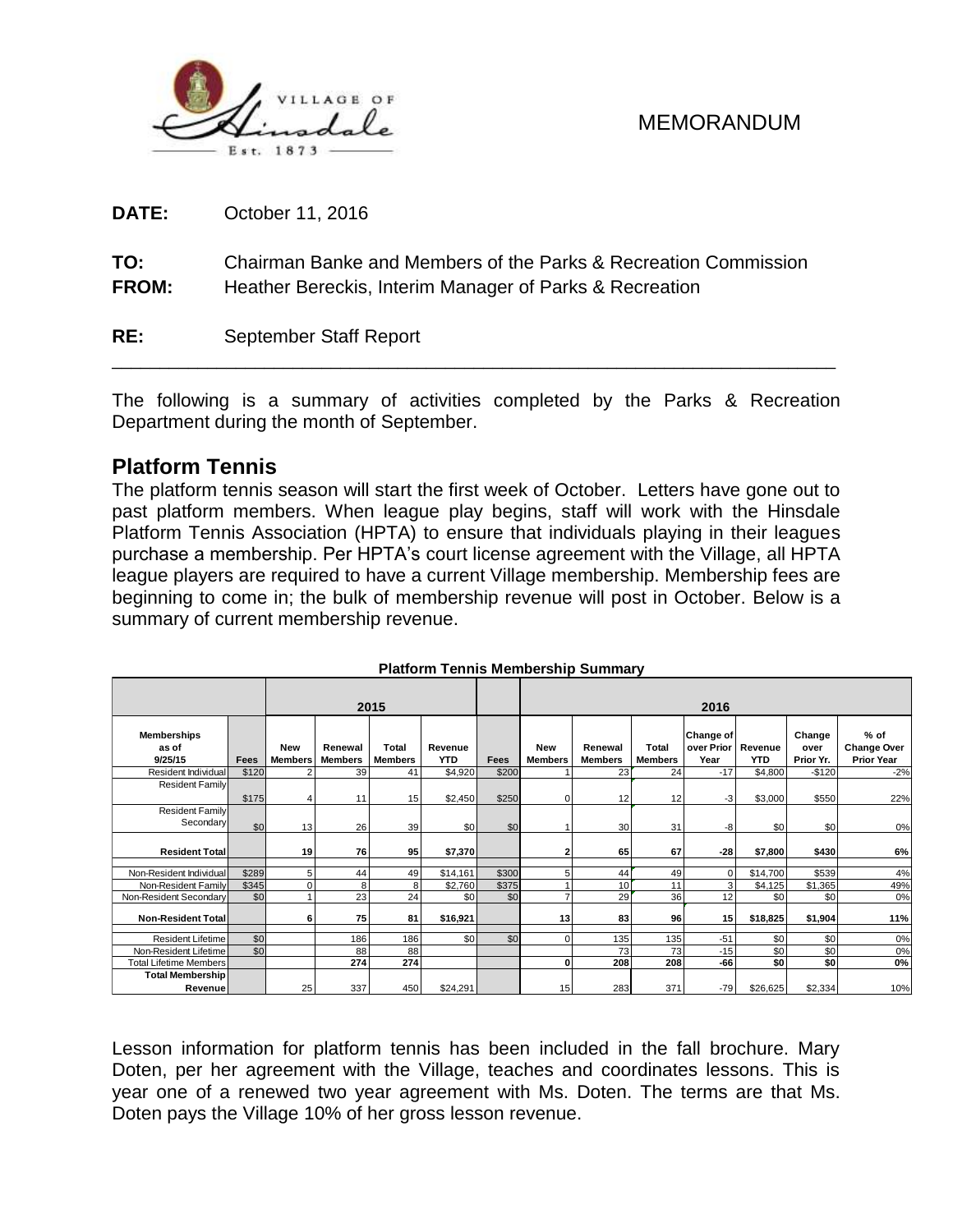

**DATE:** October 11, 2016

**TO:** Chairman Banke and Members of the Parks & Recreation Commission **FROM:** Heather Bereckis, Interim Manager of Parks & Recreation

**RE:** September Staff Report

The following is a summary of activities completed by the Parks & Recreation Department during the month of September.

\_\_\_\_\_\_\_\_\_\_\_\_\_\_\_\_\_\_\_\_\_\_\_\_\_\_\_\_\_\_\_\_\_\_\_\_\_\_\_\_\_\_\_\_\_\_\_\_\_\_\_\_\_\_\_\_\_\_\_\_\_\_\_\_\_\_\_\_\_\_\_\_\_\_\_\_

#### **Platform Tennis**

The platform tennis season will start the first week of October. Letters have gone out to past platform members. When league play begins, staff will work with the Hinsdale Platform Tennis Association (HPTA) to ensure that individuals playing in their leagues purchase a membership. Per HPTA's court license agreement with the Village, all HPTA league players are required to have a current Village membership. Membership fees are beginning to come in; the bulk of membership revenue will post in October. Below is a summary of current membership revenue.

| 2015                                   |       |                       |                           |                         |                       | 2016  |                       |                           |                         |                                                |            |                             |                                                   |
|----------------------------------------|-------|-----------------------|---------------------------|-------------------------|-----------------------|-------|-----------------------|---------------------------|-------------------------|------------------------------------------------|------------|-----------------------------|---------------------------------------------------|
| <b>Memberships</b><br>as of<br>9/25/15 | Fees  | New<br><b>Members</b> | Renewal<br><b>Members</b> | Total<br><b>Members</b> | Revenue<br><b>YTD</b> | Fees  | New<br><b>Members</b> | Renewal<br><b>Members</b> | Total<br><b>Members</b> | <b>Change of</b><br>over Prior Revenue<br>Year | <b>YTD</b> | Change<br>over<br>Prior Yr. | $%$ of<br><b>Change Over</b><br><b>Prior Year</b> |
| Resident Individual                    | \$120 |                       | 39                        | 41                      | \$4,920               | \$200 |                       | 23                        | 24                      | $-17$                                          | \$4,800    | $-$120$                     | $-2%$                                             |
| <b>Resident Family</b>                 | \$175 |                       | 11                        | 15                      | \$2,450               | \$250 | $\Omega$              | 12                        | 12                      | $-3$                                           | \$3,000    | \$550                       | 22%                                               |
| <b>Resident Family</b><br>Secondary    | \$0   | 13                    | 26                        | 39                      | \$0                   | \$0   |                       | 30                        | 31                      | -8                                             | \$0        | \$0                         | 0%                                                |
| <b>Resident Total</b>                  |       | 19                    | 76                        | 95                      | \$7,370               |       | 2                     | 65                        | 67                      | $-28$                                          | \$7,800    | \$430                       | 6%                                                |
| Non-Resident Individual                | \$289 | 5 <sub>5</sub>        | 44                        | 49                      | \$14,161              | \$300 | 5                     | 44                        | 49                      | $\Omega$                                       | \$14,700   | \$539                       | 4%                                                |
| Non-Resident Family                    | \$345 | $\Omega$              | 8                         | 8                       | \$2,760               | \$375 |                       | 10                        | 11                      | 3                                              | \$4,125    | \$1,365                     | 49%                                               |
| Non-Resident Secondary                 | \$0   |                       | 23                        | 24                      | \$0                   | \$0   |                       | 29                        | 36                      | 12                                             | \$0        | \$0                         | 0%                                                |
| <b>Non-Resident Totall</b>             |       | 6                     | 75                        | 81                      | \$16,921              |       | 13                    | 83                        | 96                      | 15 <sup>1</sup>                                | \$18,825   | \$1,904                     | 11%                                               |
| <b>Resident Lifetime</b>               | \$0   |                       | 186                       | 186                     | \$0                   | \$0   | $\Omega$              | 135                       | 135                     | $-51$                                          | \$0        | \$0                         | 0%                                                |
| Non-Resident Lifetime                  | \$0   |                       | 88                        | 88                      |                       |       |                       | 73                        | 73                      | $-15$                                          | \$0        | \$0                         | 0%                                                |
| <b>Total Lifetime Members</b>          |       |                       | 274                       | 274                     |                       |       | 0                     | 208                       | 208                     | $-66$                                          | \$0        | \$0                         | 0%                                                |
| <b>Total Membership</b>                |       |                       |                           |                         |                       |       |                       |                           |                         |                                                |            |                             |                                                   |
| Revenue                                |       | 25                    | 337                       | 450                     | \$24,291              |       | 15                    | 283                       | 371                     | $-79$                                          | \$26,625   | \$2,334                     | 10%                                               |

#### **Platform Tennis Membership Summary**

Lesson information for platform tennis has been included in the fall brochure. Mary Doten, per her agreement with the Village, teaches and coordinates lessons. This is year one of a renewed two year agreement with Ms. Doten. The terms are that Ms. Doten pays the Village 10% of her gross lesson revenue.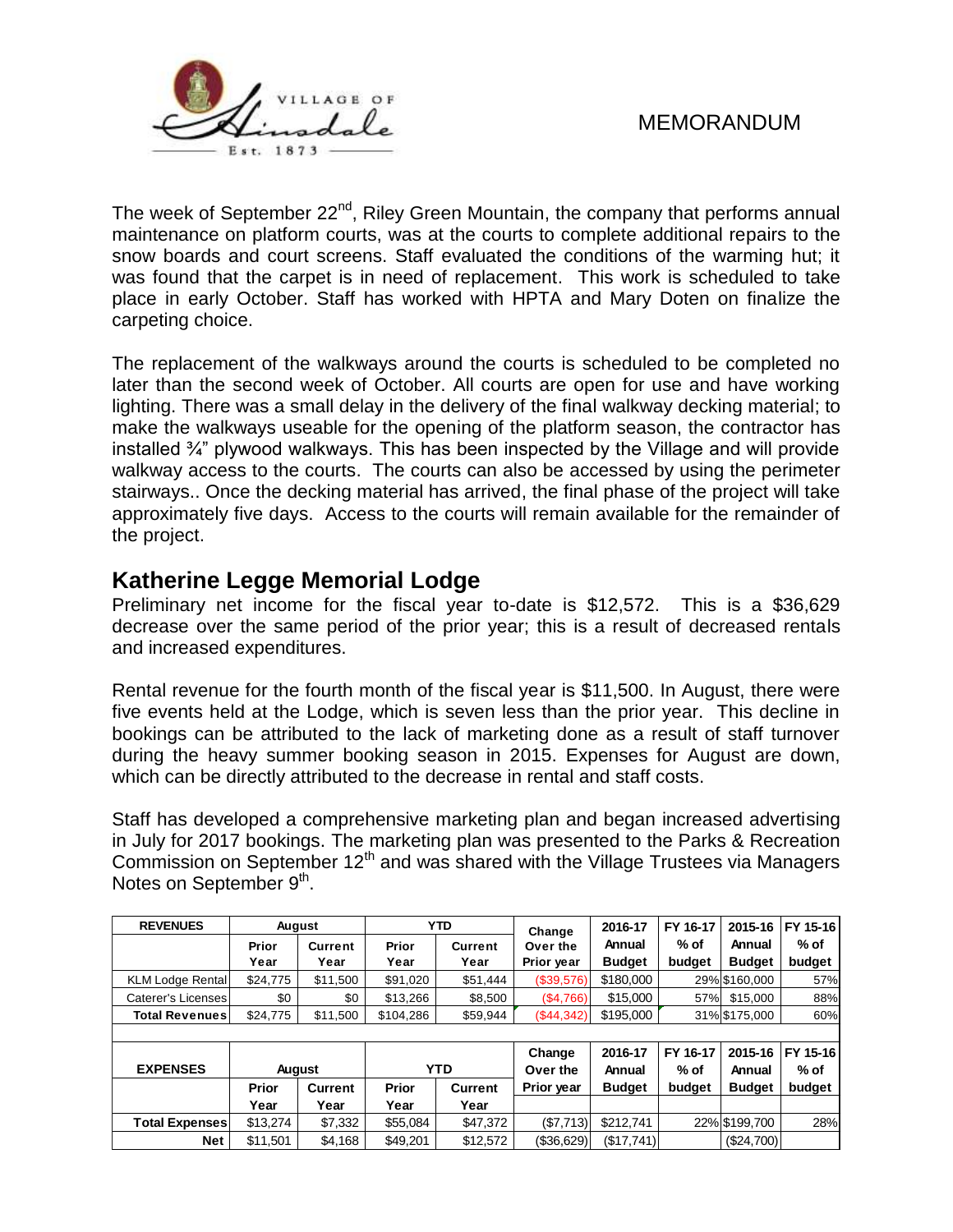



The week of September 22<sup>nd</sup>, Riley Green Mountain, the company that performs annual maintenance on platform courts, was at the courts to complete additional repairs to the snow boards and court screens. Staff evaluated the conditions of the warming hut; it was found that the carpet is in need of replacement. This work is scheduled to take place in early October. Staff has worked with HPTA and Mary Doten on finalize the carpeting choice.

The replacement of the walkways around the courts is scheduled to be completed no later than the second week of October. All courts are open for use and have working lighting. There was a small delay in the delivery of the final walkway decking material; to make the walkways useable for the opening of the platform season, the contractor has installed ¾" plywood walkways. This has been inspected by the Village and will provide walkway access to the courts. The courts can also be accessed by using the perimeter stairways.. Once the decking material has arrived, the final phase of the project will take approximately five days. Access to the courts will remain available for the remainder of the project.

## **Katherine Legge Memorial Lodge**

Preliminary net income for the fiscal year to-date is \$12,572. This is a \$36,629 decrease over the same period of the prior year; this is a result of decreased rentals and increased expenditures.

Rental revenue for the fourth month of the fiscal year is \$11,500. In August, there were five events held at the Lodge, which is seven less than the prior year. This decline in bookings can be attributed to the lack of marketing done as a result of staff turnover during the heavy summer booking season in 2015. Expenses for August are down, which can be directly attributed to the decrease in rental and staff costs.

Staff has developed a comprehensive marketing plan and began increased advertising in July for 2017 bookings. The marketing plan was presented to the Parks & Recreation Commission on September 12<sup>th</sup> and was shared with the Village Trustees via Managers Notes on September 9<sup>th</sup>.

| <b>REVENUES</b>         | August        |                        |               | <b>YTD</b>             | Change                 | 2016-17                 | FY 16-17       | 2015-16                 | FY 15-16       |
|-------------------------|---------------|------------------------|---------------|------------------------|------------------------|-------------------------|----------------|-------------------------|----------------|
|                         | Prior<br>Year | <b>Current</b><br>Year | Prior<br>Year | <b>Current</b><br>Year | Over the<br>Prior year | Annual<br><b>Budget</b> | % of<br>budget | Annual<br><b>Budget</b> | % of<br>budget |
| <b>KLM Lodge Rental</b> | \$24,775      | \$11,500               | \$91,020      | \$51,444               | (\$39,576)             | \$180,000               |                | 29% \$160,000           | 57%            |
| Caterer's Licenses      | \$0           | \$0                    | \$13,266      | \$8,500                | (\$4,766)              | \$15,000                | 57%            | \$15,000                | 88%            |
| Total Revenuesl         | \$24,775      | \$11,500               | \$104,286     | \$59,944               | (\$44,342)             | \$195,000               |                | 31% \$175,000           | 60%            |
|                         |               |                        |               |                        |                        |                         |                |                         |                |
|                         |               |                        |               |                        | Change                 | 2016-17                 | FY 16-17       | 2015-16                 | FY 15-16       |
| <b>EXPENSES</b>         |               | <b>August</b>          |               | <b>YTD</b>             | Over the               | Annual                  | % of           | Annual                  | % of           |
|                         | <b>Prior</b>  | <b>Current</b>         | <b>Prior</b>  | <b>Current</b>         | <b>Prior year</b>      | <b>Budget</b>           | budget         | <b>Budget</b>           | budget         |
|                         | Year          | Year                   | Year          | Year                   |                        |                         |                |                         |                |
| <b>Total Expenses</b>   | \$13,274      | \$7,332                | \$55,084      | \$47,372               | (\$7,713)              | \$212.741               |                | 22% \$199,700           | 28%            |
|                         |               |                        |               |                        |                        |                         |                |                         |                |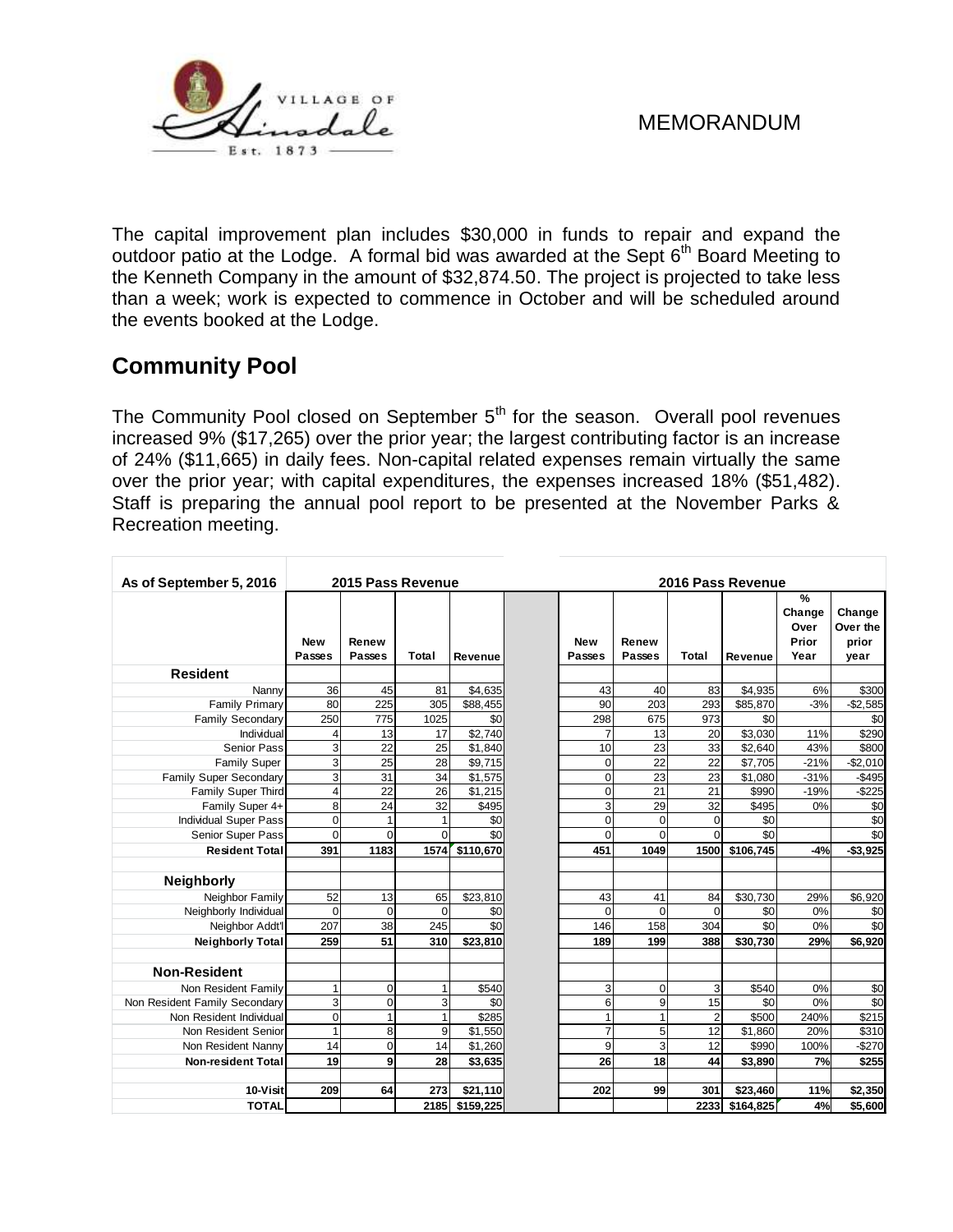

The capital improvement plan includes \$30,000 in funds to repair and expand the outdoor patio at the Lodge. A formal bid was awarded at the Sept  $6<sup>th</sup>$  Board Meeting to the Kenneth Company in the amount of \$32,874.50. The project is projected to take less than a week; work is expected to commence in October and will be scheduled around the events booked at the Lodge.

# **Community Pool**

The Community Pool closed on September  $5<sup>th</sup>$  for the season. Overall pool revenues increased 9% (\$17,265) over the prior year; the largest contributing factor is an increase of 24% (\$11,665) in daily fees. Non-capital related expenses remain virtually the same over the prior year; with capital expenditures, the expenses increased 18% (\$51,482). Staff is preparing the annual pool report to be presented at the November Parks & Recreation meeting.

| As of September 5, 2016       | 2015 Pass Revenue    |                        |          |                 |                             | 2016 Pass Revenue |                 |                |                 |                                      |                                     |
|-------------------------------|----------------------|------------------------|----------|-----------------|-----------------------------|-------------------|-----------------|----------------|-----------------|--------------------------------------|-------------------------------------|
|                               | <b>New</b><br>Passes | Renew<br><b>Passes</b> | Total    | Revenue         | <b>New</b><br><b>Passes</b> |                   | Renew<br>Passes | Total          | Revenue         | %<br>Change<br>Over<br>Prior<br>Year | Change<br>Over the<br>prior<br>year |
| <b>Resident</b>               |                      |                        |          |                 |                             |                   |                 |                |                 |                                      |                                     |
| Nanny                         | 36                   | 45                     | 81       | \$4,635         |                             | 43                | 40              | 83             | \$4,935         | 6%                                   | \$300                               |
| <b>Family Primary</b>         | 80                   | 225                    | 305      | \$88,455        |                             | 90                | 203             | 293            | \$85,870        | $-3%$                                | $-$2,585$                           |
| <b>Family Secondary</b>       | 250                  | 775                    | 1025     | \$0             |                             | 298               | 675             | 973            | \$0             |                                      | \$0                                 |
| Individual                    | 4                    | 13                     | 17       | \$2,740         |                             | 7                 | 13              | 20             | \$3,030         | 11%                                  | \$290                               |
| <b>Senior Pass</b>            | 3                    | 22                     | 25       | \$1,840         |                             | 10                | 23              | 33             | \$2,640         | 43%                                  | \$800                               |
| <b>Family Super</b>           | 3                    | 25                     | 28       | \$9,715         |                             | $\Omega$          | 22              | 22             | \$7,705         | $-21%$                               | $-$2,010$                           |
| Family Super Secondary        | 3                    | 31                     | 34       | \$1,575         |                             | 0                 | 23              | 23             | \$1,080         | $-31%$                               | $-$495$                             |
| Family Super Third            | $\overline{4}$       | 22                     | 26       | \$1,215         |                             | $\Omega$          | 21              | 21             | \$990           | $-19%$                               | $-$225$                             |
| Family Super 4+               | 8                    | 24                     | 32       | \$495           |                             | 3                 | 29              | 32             | \$495           | 0%                                   | \$0                                 |
| <b>Individual Super Pass</b>  | $\mathbf 0$          | 1                      | 1        | \$0             |                             | $\Omega$          | $\Omega$        | $\mathbf 0$    | \$0             |                                      | \$0                                 |
| Senior Super Pass             | $\mathbf 0$          | $\Omega$               | $\Omega$ | \$0             |                             | $\Omega$          | $\Omega$        | $\Omega$       | $\overline{50}$ |                                      | $\overline{50}$                     |
| <b>Resident Total</b>         | 391                  | 1183                   | 1574     | \$110,670       |                             | 451               | 1049            | 1500           | \$106,745       | $-4%$                                | $-$3,925$                           |
|                               |                      |                        |          |                 |                             |                   |                 |                |                 |                                      |                                     |
| <b>Neighborly</b>             |                      |                        |          |                 |                             |                   |                 |                |                 |                                      |                                     |
| Neighbor Family               | 52                   | 13                     | 65       | \$23,810        |                             | 43                | 41              | 84             | \$30,730        | 29%                                  | \$6,920                             |
| Neighborly Individual         | $\mathbf 0$          | $\Omega$               | $\Omega$ | \$0             |                             | $\Omega$          | $\Omega$        | $\Omega$       | \$0             | 0%                                   | \$0                                 |
| Neighbor Addt'l               | 207                  | 38                     | 245      | $\overline{50}$ |                             | 146               | 158             | 304            | $\overline{30}$ | 0%                                   | \$0                                 |
| <b>Neighborly Total</b>       | 259                  | 51                     | 310      | \$23,810        |                             | 189               | 199             | 388            | \$30,730        | 29%                                  | \$6,920                             |
| <b>Non-Resident</b>           |                      |                        |          |                 |                             |                   |                 |                |                 |                                      |                                     |
| Non Resident Family           | 1                    | $\Omega$               | 1        | \$540           |                             | 3                 | $\Omega$        | 3              | \$540           | 0%                                   | \$0                                 |
| Non Resident Family Secondary | 3                    | $\Omega$               | 3        | \$0             |                             | 6                 | 9               | 15             | \$0             | 0%                                   | \$0                                 |
| Non Resident Individual       | 0                    | 1                      | 1        | \$285           |                             | 1                 |                 | $\overline{2}$ | \$500           | 240%                                 | \$215                               |
| Non Resident Senior           | $\mathbf{1}$         | 8                      | 9        | \$1,550         |                             | 7                 | 5               | 12             | \$1,860         | 20%                                  | \$310                               |
| Non Resident Nanny            | 14                   | $\mathbf 0$            | 14       | \$1,260         |                             | 9                 | 3               | 12             | \$990           | 100%                                 | $-$270$                             |
| <b>Non-resident Total</b>     | 19                   | 9                      | 28       | \$3,635         |                             | 26                | 18              | 44             | \$3,890         | 7%                                   | \$255                               |
| 10-Visit                      | 209                  | 64                     | 273      | \$21,110        |                             | 202               | 99              | 301            | \$23,460        | 11%                                  | \$2,350                             |
| <b>TOTAL</b>                  |                      |                        | 2185     | \$159,225       |                             |                   |                 | 2233           | \$164,825       | 4%                                   | \$5,600                             |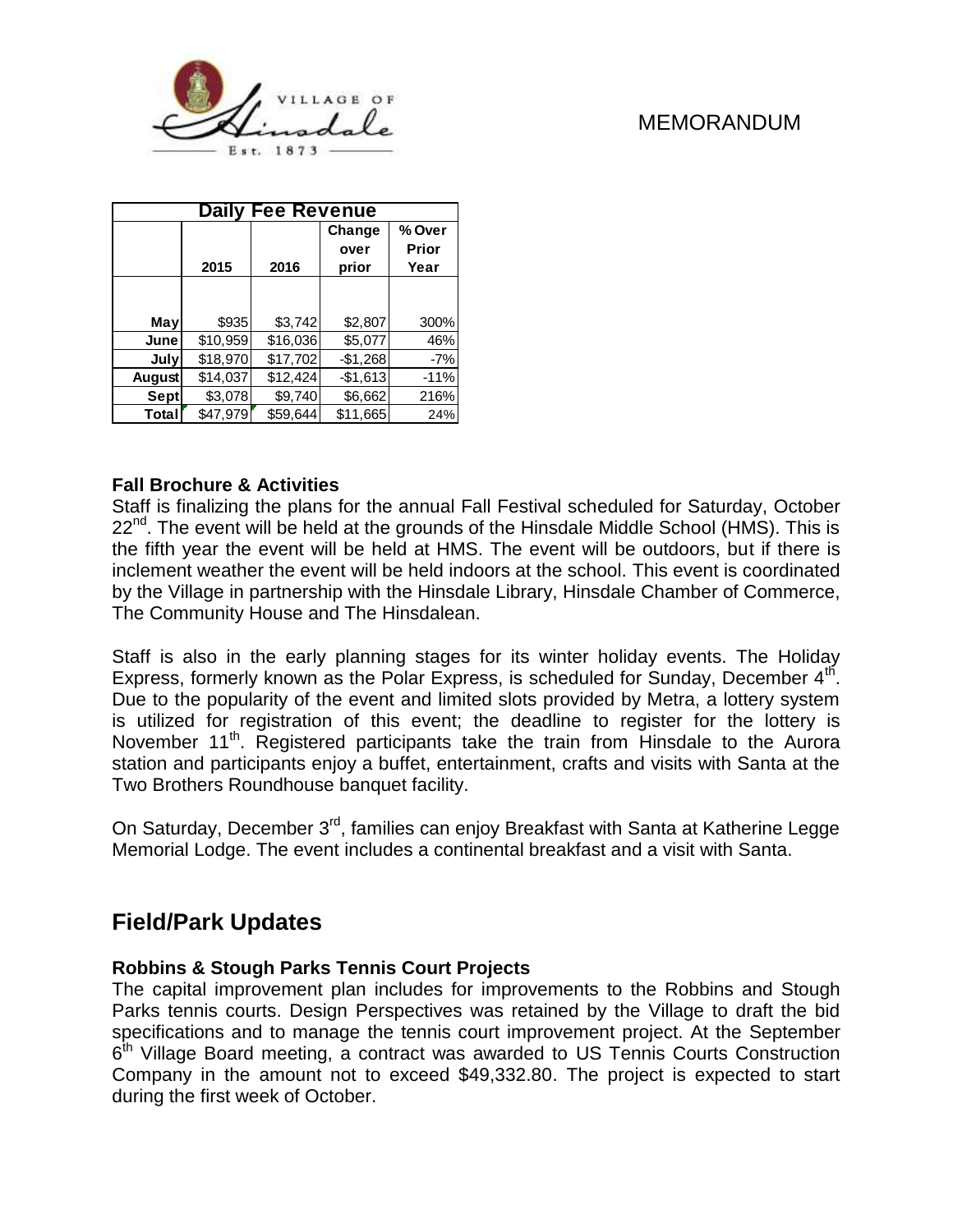

| <b>Daily Fee Revenue</b> |          |          |                         |                                |  |  |  |  |  |
|--------------------------|----------|----------|-------------------------|--------------------------------|--|--|--|--|--|
|                          | 2015     | 2016     | Change<br>over<br>prior | % Over<br><b>Prior</b><br>Year |  |  |  |  |  |
|                          |          |          |                         |                                |  |  |  |  |  |
| May                      | \$935    | \$3,742  | \$2,807                 | 300%                           |  |  |  |  |  |
| June                     | \$10,959 | \$16,036 | \$5,077                 | 46%                            |  |  |  |  |  |
| July                     | \$18,970 | \$17,702 | $-$1,268$               | $-7%$                          |  |  |  |  |  |
| <b>August</b>            | \$14,037 | \$12,424 | $-$1,613$               | $-11%$                         |  |  |  |  |  |
| Sept                     | \$3,078  | \$9,740  | \$6,662                 | 216%                           |  |  |  |  |  |
| Total                    | \$47,979 | \$59.644 | \$11,665                | 24%                            |  |  |  |  |  |

#### **Fall Brochure & Activities**

Staff is finalizing the plans for the annual Fall Festival scheduled for Saturday, October 22<sup>nd</sup>. The event will be held at the grounds of the Hinsdale Middle School (HMS). This is the fifth year the event will be held at HMS. The event will be outdoors, but if there is inclement weather the event will be held indoors at the school. This event is coordinated by the Village in partnership with the Hinsdale Library, Hinsdale Chamber of Commerce, The Community House and The Hinsdalean.

Staff is also in the early planning stages for its winter holiday events. The Holiday Express, formerly known as the Polar Express, is scheduled for Sunday, December  $4<sup>th</sup>$ . Due to the popularity of the event and limited slots provided by Metra, a lottery system is utilized for registration of this event; the deadline to register for the lottery is November 11<sup>th</sup>. Registered participants take the train from Hinsdale to the Aurora station and participants enjoy a buffet, entertainment, crafts and visits with Santa at the Two Brothers Roundhouse banquet facility.

On Saturday, December 3<sup>rd</sup>, families can enjoy Breakfast with Santa at Katherine Legge Memorial Lodge. The event includes a continental breakfast and a visit with Santa.

# **Field/Park Updates**

#### **Robbins & Stough Parks Tennis Court Projects**

The capital improvement plan includes for improvements to the Robbins and Stough Parks tennis courts. Design Perspectives was retained by the Village to draft the bid specifications and to manage the tennis court improvement project. At the September 6<sup>th</sup> Village Board meeting, a contract was awarded to US Tennis Courts Construction Company in the amount not to exceed \$49,332.80. The project is expected to start during the first week of October.